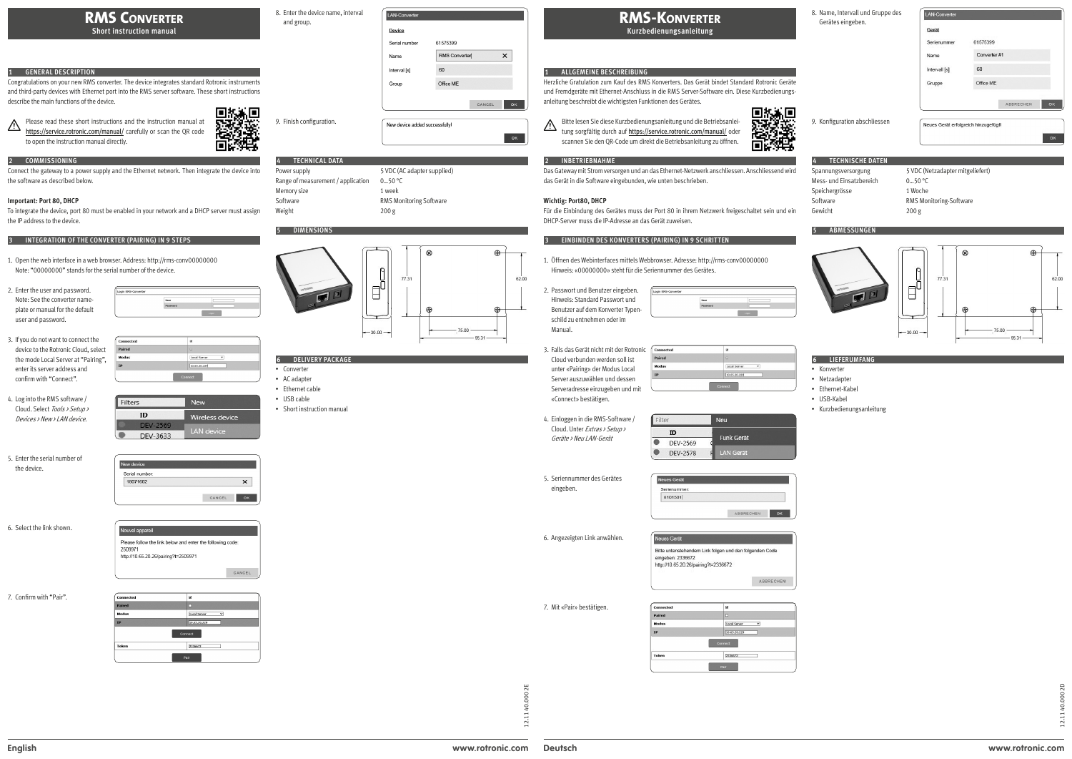## **RMS-KONVERTER Kurzbedienungsanleitung**

# **RMS CONVERTER**

**Short instruction manual**

### **1 ALLGEMEINE BESCHREIBUNG**

Herzliche Gratulation zum Kauf des RMS Konverters. Das Gerät bindet Standard Rotronic Geräte und Fremdgeräte mit Ethernet-Anschluss in die RMS Server-Software ein. Diese Kurzbedienungsanleitung beschreibt die wichtigsten Funktionen des Gerätes.

Bitte lesen Sie diese Kurzbedienungsanleitung und die Betriebsanleitung sorgfältig durch auf https://service.rotronic.com/manual/ oder scannen Sie den QR-Code um direkt die Betriebsanleitung zu öffnen.



### **2 INBETRIEBNAHME**

Das Gateway mit Strom versorgen und an das Ethernet-Netzwerk anschliessen. Anschliessend wird das Gerät in die Software eingebunden, wie unten beschrieben.

### **Wichtig: Port80, DHCP**

Für die Einbindung des Gerätes muss der Port 80 in ihrem Netzwerk freigeschaltet sein und ein DHCP-Server muss die IP-Adresse an das Gerät zuweisen.

### **3 EINBINDEN DES KONVERTERS (PAIRING) IN 9 SCHRITTEN**

- 1. Öffnen des Webinterfaces mittels Webbrowser. Adresse: http://rms-conv00000000 Hinweis: «00000000» steht für die Seriennummer des Gerätes.
- 2. Passwort und Benutzer eingeben. Hinweis: Standard Passwort und Benutzer auf dem Konverter Typenschild zu entnehmen oder im Manual.



3. Falls das Gerät nicht mit der Rotronic  $\overline{\phantom{a}}$ Cloud verbunden werden soll ist a<br>odus  $\fbox{\parbox{1.5cm} \begin{tabular}{|l|l|} \hline Local Server & \quad \quad & \quad \quad \bullet \end{tabular}}$ unter «Pairing» der Modus Local 10.65.20.229 Server auszuwählen und dessen Serveradresse einzugeben und mit «Connect» bestätigen.

ID

 $\bullet$  $\bullet$  **DEV-2569** 

**DEV-2578** 

4. Einloggen in die RMS-Software / Cloud. Unter Extras > Setup > Geräte > Neu LAN-Gerät





Neu

Funk Gerät

LAN Gerät

6. Angezeigten Link anwählen.

eues Gerät Bitte untenstehendem Link folgen und den folgenden Code eingeben: 2336672 http://10.65.20.26/pairing?t=2336672 ABBRECHEN

7. Mit «Pair» bestätigen.



### **1 GENERAL DESCRIPTION**

Congratulations on your new RMS converter. The device integrates standard Rotronic instruments and third-party devices with Ethernet port into the RMS server software. These short instructions describe the main functions of the device.

Please read these short instructions and the instruction manual at https://service.rotronic.com/manual/ carefully or scan the QR code to open the instruction manual directly.



Connect the gateway to a power supply and the Ethernet network. Then integrate the device into the software as described below.

### **Important: Port 80, DHCP**

To integrate the device, port 80 must be enabled in your network and a DHCP server must assign the IP address to the device.

### **3 INTEGRATION OF THE CONVERTER (PAIRING) IN 9 STEPS**

- 1. Open the web interface in a web browser. Address: http://rms-conv00000000 Note: "00000000" stands for the serial number of the device.
- 2. Enter the user and password. Note: See the converter nameplate or manual for the default user and password.

| gin RMS-Converter |          |       |  |
|-------------------|----------|-------|--|
|                   | User     |       |  |
|                   | Password |       |  |
|                   |          | Login |  |

l el

Local Server (

- 3. If you do not want to connect the device to the Rotronic Cloud, select the mode Local Server at "Pairing", enter its server address and confirm with "Connect".
- 4. Log into the RMS software / Cloud. Select Tools > Setup > Devices > New > LAN device.

| Filters |                 | <b>New</b>        |
|---------|-----------------|-------------------|
|         | ID              | Wireless device   |
|         | DFV-2569        |                   |
|         | <b>DEV 2622</b> | <b>LAN</b> device |

5. Enter the serial number of the device.

| New device     |        |    |
|----------------|--------|----|
| Serial number: |        |    |
| 18071602       |        | ×  |
|                | CANCEL | OK |

6. Select the link shown.



7. Confirm with "Pair".

| <b>Connected</b> | Ø                                   |  |
|------------------|-------------------------------------|--|
| Paired           | ◻                                   |  |
| Modus            | <b>Local Server</b><br>$\checkmark$ |  |
| <b>IP</b>        | 10.65.20.229                        |  |
| Connect          |                                     |  |
| Token            | 2336672                             |  |
| Pair             |                                     |  |

| 8. Name, Intervall und Gruppe des | LAN-Converter                        |                 |  |  |
|-----------------------------------|--------------------------------------|-----------------|--|--|
| Gerätes eingeben.                 | Gerät                                |                 |  |  |
|                                   | Serienummer                          | 61575399        |  |  |
|                                   | Name                                 | Converter #1    |  |  |
|                                   | Intervall [s]                        | 60              |  |  |
|                                   | Gruppe                               | Office ME       |  |  |
|                                   |                                      | OK<br>ABBRECHEN |  |  |
| 9. Konfiguration abschliessen     | Neues Gerät erfolgreich hinzugefügt! |                 |  |  |
|                                   |                                      | OK              |  |  |
| 4<br><b>TECHNISCHE DATEN</b>      |                                      |                 |  |  |

Spannungsversorgung 5 VDC (Netzadapter mitgeliefert) Software RMS Monitoring-Software Gewicht 200 g

Mess- und Einsatzbereich 0…50 °C Speichergrösse 1 Woche

### **5 ABMESSUNGEN**



### **6 LIEFERUMFANG**

- Konverter
- Netzadapter
- Ethernet-Kabel
- USB-Kabel
- Kurzbedienungsanleitung

### 8. Enter the device name, interval and group.



LAN-Converter





### **4 TECHNICAL DATA**

Power supply Range of measurement / application Memory size Software Weight  $2<sup>0</sup>$ 

| VDC (AC adapter supplied)     |  |
|-------------------------------|--|
| …50 °C                        |  |
| week                          |  |
| <b>MS Monitoring Software</b> |  |
| 00 g                          |  |

### **5 DIMENSIONS**



### **6 DELIVERY PACKAGE**

- Converter
- AC adapter
- Ethernet cable
- USB cable
- Short instruction manual